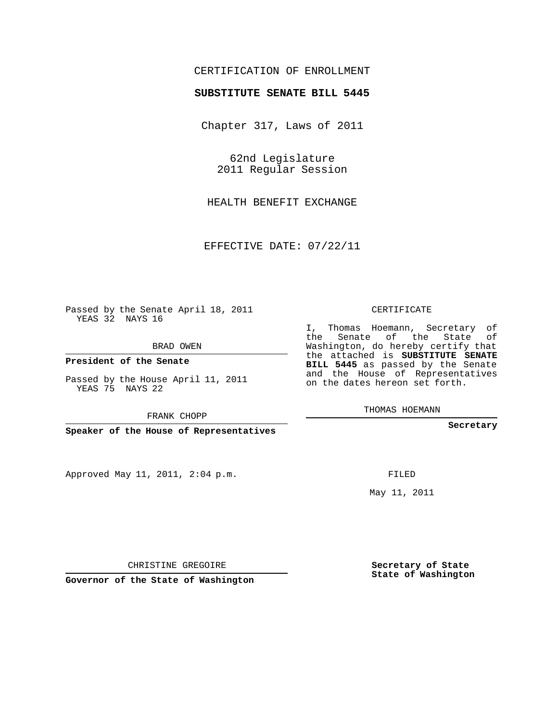## CERTIFICATION OF ENROLLMENT

#### **SUBSTITUTE SENATE BILL 5445**

Chapter 317, Laws of 2011

62nd Legislature 2011 Regular Session

HEALTH BENEFIT EXCHANGE

EFFECTIVE DATE: 07/22/11

Passed by the Senate April 18, 2011 YEAS 32 NAYS 16

BRAD OWEN

**President of the Senate**

Passed by the House April 11, 2011 YEAS 75 NAYS 22

FRANK CHOPP

**Speaker of the House of Representatives**

Approved May 11, 2011, 2:04 p.m.

### CERTIFICATE

I, Thomas Hoemann, Secretary of the Senate of the State of Washington, do hereby certify that the attached is **SUBSTITUTE SENATE BILL 5445** as passed by the Senate and the House of Representatives on the dates hereon set forth.

THOMAS HOEMANN

**Secretary**

FILED

May 11, 2011

**Secretary of State State of Washington**

CHRISTINE GREGOIRE

**Governor of the State of Washington**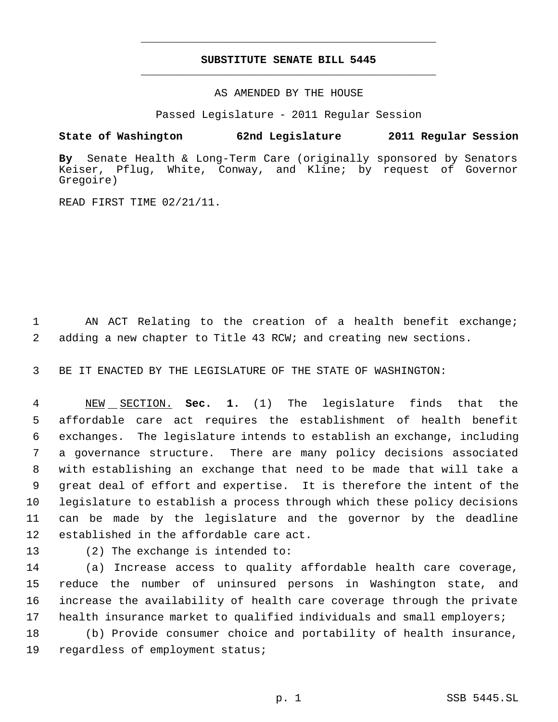# **SUBSTITUTE SENATE BILL 5445** \_\_\_\_\_\_\_\_\_\_\_\_\_\_\_\_\_\_\_\_\_\_\_\_\_\_\_\_\_\_\_\_\_\_\_\_\_\_\_\_\_\_\_\_\_

\_\_\_\_\_\_\_\_\_\_\_\_\_\_\_\_\_\_\_\_\_\_\_\_\_\_\_\_\_\_\_\_\_\_\_\_\_\_\_\_\_\_\_\_\_

AS AMENDED BY THE HOUSE

Passed Legislature - 2011 Regular Session

## **State of Washington 62nd Legislature 2011 Regular Session**

**By** Senate Health & Long-Term Care (originally sponsored by Senators Keiser, Pflug, White, Conway, and Kline; by request of Governor Gregoire)

READ FIRST TIME 02/21/11.

 AN ACT Relating to the creation of a health benefit exchange; adding a new chapter to Title 43 RCW; and creating new sections.

BE IT ENACTED BY THE LEGISLATURE OF THE STATE OF WASHINGTON:

 NEW SECTION. **Sec. 1.** (1) The legislature finds that the affordable care act requires the establishment of health benefit exchanges. The legislature intends to establish an exchange, including a governance structure. There are many policy decisions associated with establishing an exchange that need to be made that will take a great deal of effort and expertise. It is therefore the intent of the legislature to establish a process through which these policy decisions can be made by the legislature and the governor by the deadline established in the affordable care act.

(2) The exchange is intended to:

 (a) Increase access to quality affordable health care coverage, reduce the number of uninsured persons in Washington state, and increase the availability of health care coverage through the private health insurance market to qualified individuals and small employers;

 (b) Provide consumer choice and portability of health insurance, regardless of employment status;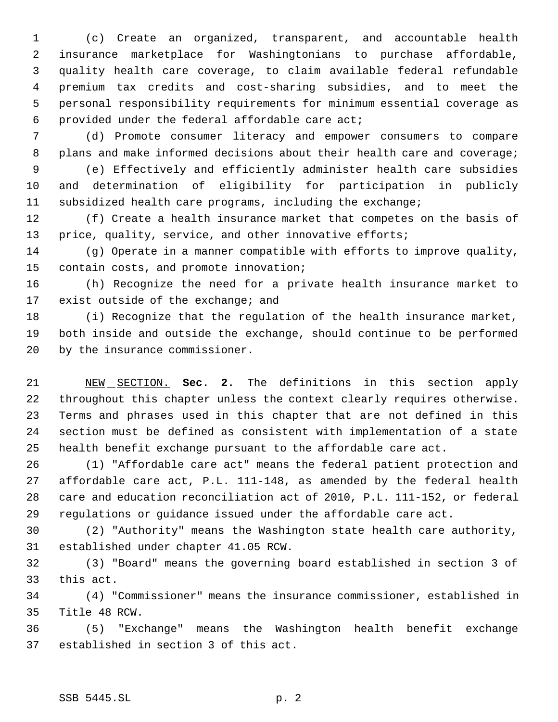(c) Create an organized, transparent, and accountable health insurance marketplace for Washingtonians to purchase affordable, quality health care coverage, to claim available federal refundable premium tax credits and cost-sharing subsidies, and to meet the personal responsibility requirements for minimum essential coverage as provided under the federal affordable care act;

 (d) Promote consumer literacy and empower consumers to compare 8 plans and make informed decisions about their health care and coverage;

 (e) Effectively and efficiently administer health care subsidies and determination of eligibility for participation in publicly subsidized health care programs, including the exchange;

 (f) Create a health insurance market that competes on the basis of 13 price, quality, service, and other innovative efforts;

 (g) Operate in a manner compatible with efforts to improve quality, contain costs, and promote innovation;

 (h) Recognize the need for a private health insurance market to 17 exist outside of the exchange; and

 (i) Recognize that the regulation of the health insurance market, both inside and outside the exchange, should continue to be performed by the insurance commissioner.

 NEW SECTION. **Sec. 2.** The definitions in this section apply throughout this chapter unless the context clearly requires otherwise. Terms and phrases used in this chapter that are not defined in this section must be defined as consistent with implementation of a state health benefit exchange pursuant to the affordable care act.

 (1) "Affordable care act" means the federal patient protection and affordable care act, P.L. 111-148, as amended by the federal health care and education reconciliation act of 2010, P.L. 111-152, or federal regulations or guidance issued under the affordable care act.

 (2) "Authority" means the Washington state health care authority, established under chapter 41.05 RCW.

 (3) "Board" means the governing board established in section 3 of this act.

 (4) "Commissioner" means the insurance commissioner, established in Title 48 RCW.

 (5) "Exchange" means the Washington health benefit exchange established in section 3 of this act.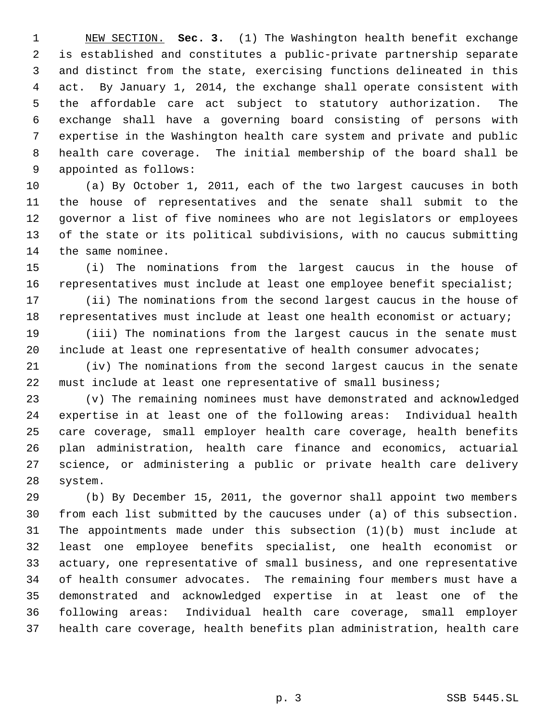NEW SECTION. **Sec. 3.** (1) The Washington health benefit exchange is established and constitutes a public-private partnership separate and distinct from the state, exercising functions delineated in this act. By January 1, 2014, the exchange shall operate consistent with the affordable care act subject to statutory authorization. The exchange shall have a governing board consisting of persons with expertise in the Washington health care system and private and public health care coverage. The initial membership of the board shall be appointed as follows:

 (a) By October 1, 2011, each of the two largest caucuses in both the house of representatives and the senate shall submit to the governor a list of five nominees who are not legislators or employees of the state or its political subdivisions, with no caucus submitting the same nominee.

 (i) The nominations from the largest caucus in the house of representatives must include at least one employee benefit specialist;

 (ii) The nominations from the second largest caucus in the house of 18 representatives must include at least one health economist or actuary;

 (iii) The nominations from the largest caucus in the senate must 20 include at least one representative of health consumer advocates;

 (iv) The nominations from the second largest caucus in the senate must include at least one representative of small business;

 (v) The remaining nominees must have demonstrated and acknowledged expertise in at least one of the following areas: Individual health care coverage, small employer health care coverage, health benefits plan administration, health care finance and economics, actuarial science, or administering a public or private health care delivery system.

 (b) By December 15, 2011, the governor shall appoint two members from each list submitted by the caucuses under (a) of this subsection. The appointments made under this subsection (1)(b) must include at least one employee benefits specialist, one health economist or actuary, one representative of small business, and one representative of health consumer advocates. The remaining four members must have a demonstrated and acknowledged expertise in at least one of the following areas: Individual health care coverage, small employer health care coverage, health benefits plan administration, health care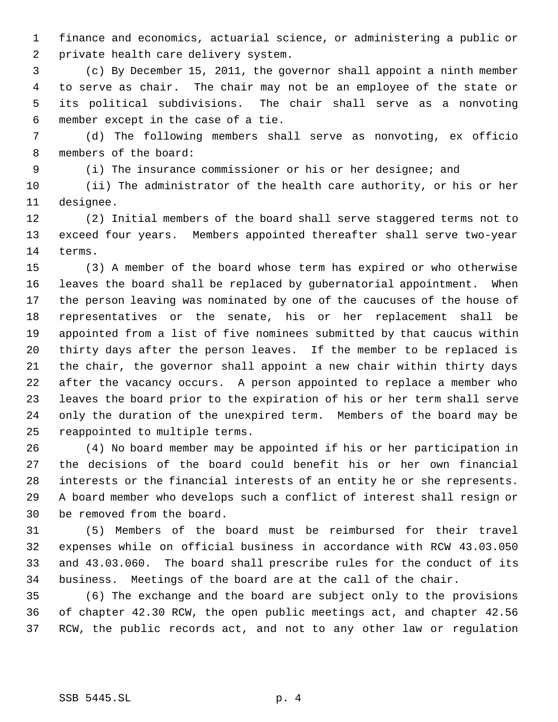finance and economics, actuarial science, or administering a public or private health care delivery system.

 (c) By December 15, 2011, the governor shall appoint a ninth member to serve as chair. The chair may not be an employee of the state or its political subdivisions. The chair shall serve as a nonvoting member except in the case of a tie.

 (d) The following members shall serve as nonvoting, ex officio members of the board:

(i) The insurance commissioner or his or her designee; and

 (ii) The administrator of the health care authority, or his or her designee.

 (2) Initial members of the board shall serve staggered terms not to exceed four years. Members appointed thereafter shall serve two-year terms.

 (3) A member of the board whose term has expired or who otherwise leaves the board shall be replaced by gubernatorial appointment. When the person leaving was nominated by one of the caucuses of the house of representatives or the senate, his or her replacement shall be appointed from a list of five nominees submitted by that caucus within thirty days after the person leaves. If the member to be replaced is the chair, the governor shall appoint a new chair within thirty days after the vacancy occurs. A person appointed to replace a member who leaves the board prior to the expiration of his or her term shall serve only the duration of the unexpired term. Members of the board may be reappointed to multiple terms.

 (4) No board member may be appointed if his or her participation in the decisions of the board could benefit his or her own financial interests or the financial interests of an entity he or she represents. A board member who develops such a conflict of interest shall resign or be removed from the board.

 (5) Members of the board must be reimbursed for their travel expenses while on official business in accordance with RCW 43.03.050 and 43.03.060. The board shall prescribe rules for the conduct of its business. Meetings of the board are at the call of the chair.

 (6) The exchange and the board are subject only to the provisions of chapter 42.30 RCW, the open public meetings act, and chapter 42.56 RCW, the public records act, and not to any other law or regulation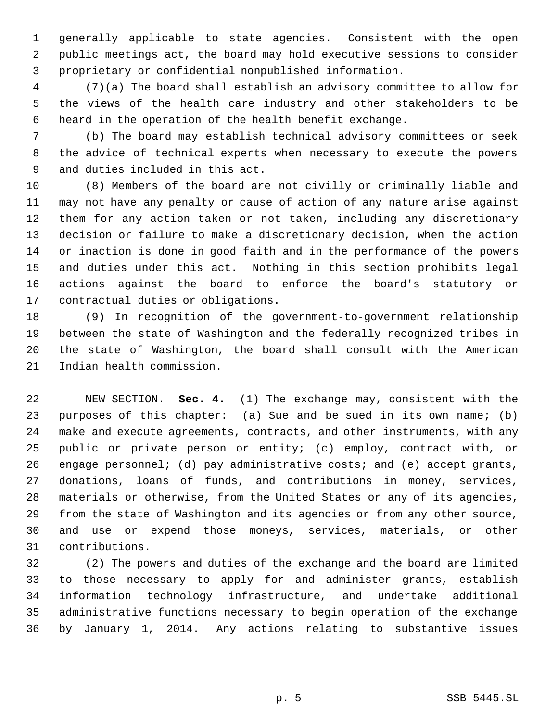generally applicable to state agencies. Consistent with the open public meetings act, the board may hold executive sessions to consider proprietary or confidential nonpublished information.

 (7)(a) The board shall establish an advisory committee to allow for the views of the health care industry and other stakeholders to be heard in the operation of the health benefit exchange.

 (b) The board may establish technical advisory committees or seek the advice of technical experts when necessary to execute the powers and duties included in this act.

 (8) Members of the board are not civilly or criminally liable and may not have any penalty or cause of action of any nature arise against them for any action taken or not taken, including any discretionary decision or failure to make a discretionary decision, when the action or inaction is done in good faith and in the performance of the powers and duties under this act. Nothing in this section prohibits legal actions against the board to enforce the board's statutory or contractual duties or obligations.

 (9) In recognition of the government-to-government relationship between the state of Washington and the federally recognized tribes in the state of Washington, the board shall consult with the American Indian health commission.

 NEW SECTION. **Sec. 4.** (1) The exchange may, consistent with the purposes of this chapter: (a) Sue and be sued in its own name; (b) make and execute agreements, contracts, and other instruments, with any public or private person or entity; (c) employ, contract with, or engage personnel; (d) pay administrative costs; and (e) accept grants, donations, loans of funds, and contributions in money, services, materials or otherwise, from the United States or any of its agencies, from the state of Washington and its agencies or from any other source, and use or expend those moneys, services, materials, or other contributions.

 (2) The powers and duties of the exchange and the board are limited to those necessary to apply for and administer grants, establish information technology infrastructure, and undertake additional administrative functions necessary to begin operation of the exchange by January 1, 2014. Any actions relating to substantive issues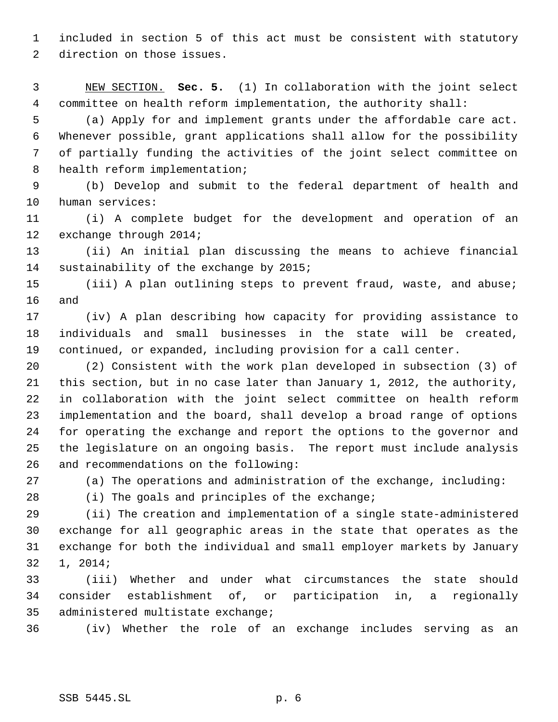included in section 5 of this act must be consistent with statutory direction on those issues.

 NEW SECTION. **Sec. 5.** (1) In collaboration with the joint select committee on health reform implementation, the authority shall:

 (a) Apply for and implement grants under the affordable care act. Whenever possible, grant applications shall allow for the possibility of partially funding the activities of the joint select committee on 8 health reform implementation;

 (b) Develop and submit to the federal department of health and human services:

 (i) A complete budget for the development and operation of an exchange through 2014;

 (ii) An initial plan discussing the means to achieve financial sustainability of the exchange by 2015;

 (iii) A plan outlining steps to prevent fraud, waste, and abuse; and

 (iv) A plan describing how capacity for providing assistance to individuals and small businesses in the state will be created, continued, or expanded, including provision for a call center.

 (2) Consistent with the work plan developed in subsection (3) of this section, but in no case later than January 1, 2012, the authority, in collaboration with the joint select committee on health reform implementation and the board, shall develop a broad range of options for operating the exchange and report the options to the governor and the legislature on an ongoing basis. The report must include analysis and recommendations on the following:

(a) The operations and administration of the exchange, including:

(i) The goals and principles of the exchange;

 (ii) The creation and implementation of a single state-administered exchange for all geographic areas in the state that operates as the exchange for both the individual and small employer markets by January 1, 2014;

 (iii) Whether and under what circumstances the state should consider establishment of, or participation in, a regionally administered multistate exchange;

(iv) Whether the role of an exchange includes serving as an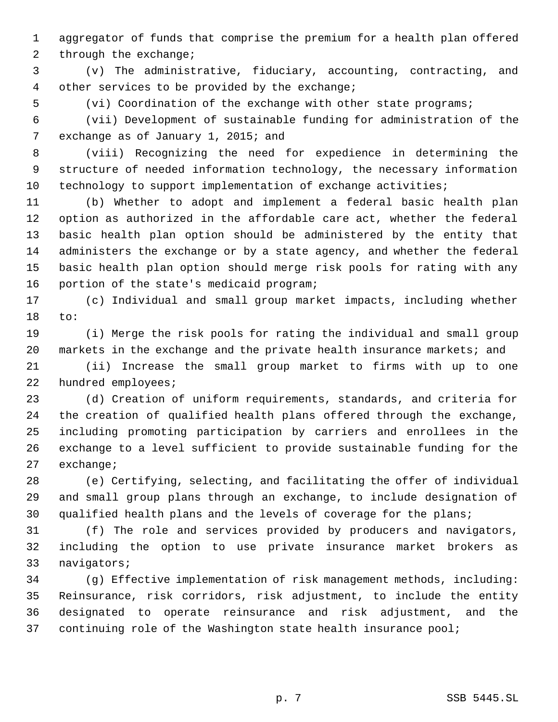aggregator of funds that comprise the premium for a health plan offered 2 through the exchange;

 (v) The administrative, fiduciary, accounting, contracting, and other services to be provided by the exchange;

(vi) Coordination of the exchange with other state programs;

 (vii) Development of sustainable funding for administration of the 7 exchange as of January 1, 2015; and

 (viii) Recognizing the need for expedience in determining the structure of needed information technology, the necessary information technology to support implementation of exchange activities;

 (b) Whether to adopt and implement a federal basic health plan option as authorized in the affordable care act, whether the federal basic health plan option should be administered by the entity that administers the exchange or by a state agency, and whether the federal basic health plan option should merge risk pools for rating with any portion of the state's medicaid program;

 (c) Individual and small group market impacts, including whether to:

 (i) Merge the risk pools for rating the individual and small group markets in the exchange and the private health insurance markets; and

 (ii) Increase the small group market to firms with up to one hundred employees;

 (d) Creation of uniform requirements, standards, and criteria for the creation of qualified health plans offered through the exchange, including promoting participation by carriers and enrollees in the exchange to a level sufficient to provide sustainable funding for the exchange;

 (e) Certifying, selecting, and facilitating the offer of individual and small group plans through an exchange, to include designation of 30 qualified health plans and the levels of coverage for the plans;

 (f) The role and services provided by producers and navigators, including the option to use private insurance market brokers as navigators;

 (g) Effective implementation of risk management methods, including: Reinsurance, risk corridors, risk adjustment, to include the entity designated to operate reinsurance and risk adjustment, and the continuing role of the Washington state health insurance pool;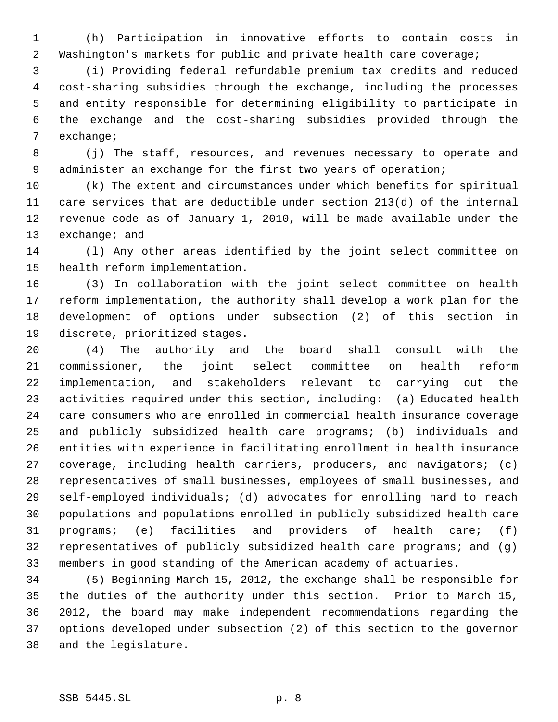(h) Participation in innovative efforts to contain costs in Washington's markets for public and private health care coverage;

 (i) Providing federal refundable premium tax credits and reduced cost-sharing subsidies through the exchange, including the processes and entity responsible for determining eligibility to participate in the exchange and the cost-sharing subsidies provided through the exchange;

 (j) The staff, resources, and revenues necessary to operate and 9 administer an exchange for the first two years of operation;

 (k) The extent and circumstances under which benefits for spiritual care services that are deductible under section 213(d) of the internal revenue code as of January 1, 2010, will be made available under the 13 exchange; and

 (l) Any other areas identified by the joint select committee on health reform implementation.

 (3) In collaboration with the joint select committee on health reform implementation, the authority shall develop a work plan for the development of options under subsection (2) of this section in discrete, prioritized stages.

 (4) The authority and the board shall consult with the commissioner, the joint select committee on health reform implementation, and stakeholders relevant to carrying out the activities required under this section, including: (a) Educated health care consumers who are enrolled in commercial health insurance coverage and publicly subsidized health care programs; (b) individuals and entities with experience in facilitating enrollment in health insurance coverage, including health carriers, producers, and navigators; (c) representatives of small businesses, employees of small businesses, and self-employed individuals; (d) advocates for enrolling hard to reach populations and populations enrolled in publicly subsidized health care programs; (e) facilities and providers of health care; (f) representatives of publicly subsidized health care programs; and (g) members in good standing of the American academy of actuaries.

 (5) Beginning March 15, 2012, the exchange shall be responsible for the duties of the authority under this section. Prior to March 15, 2012, the board may make independent recommendations regarding the options developed under subsection (2) of this section to the governor and the legislature.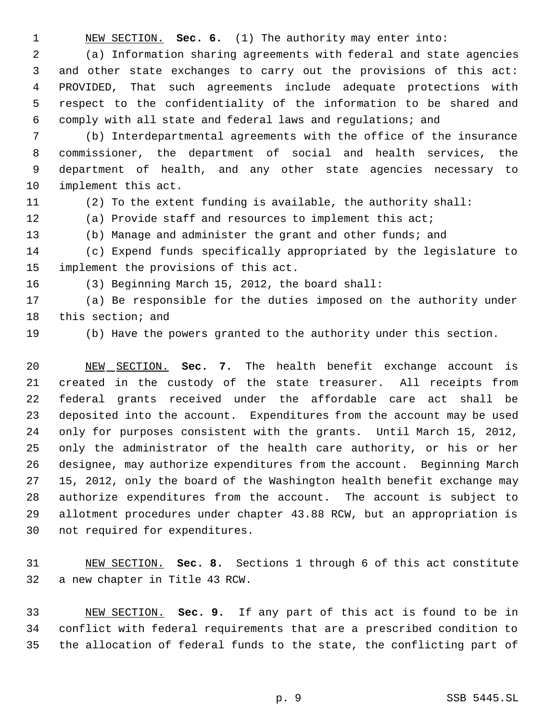NEW SECTION. **Sec. 6.** (1) The authority may enter into:

 (a) Information sharing agreements with federal and state agencies and other state exchanges to carry out the provisions of this act: PROVIDED, That such agreements include adequate protections with respect to the confidentiality of the information to be shared and comply with all state and federal laws and regulations; and

 (b) Interdepartmental agreements with the office of the insurance commissioner, the department of social and health services, the department of health, and any other state agencies necessary to implement this act.

(2) To the extent funding is available, the authority shall:

(a) Provide staff and resources to implement this act;

(b) Manage and administer the grant and other funds; and

 (c) Expend funds specifically appropriated by the legislature to implement the provisions of this act.

(3) Beginning March 15, 2012, the board shall:

 (a) Be responsible for the duties imposed on the authority under this section; and

(b) Have the powers granted to the authority under this section.

 NEW SECTION. **Sec. 7.** The health benefit exchange account is created in the custody of the state treasurer. All receipts from federal grants received under the affordable care act shall be deposited into the account. Expenditures from the account may be used only for purposes consistent with the grants. Until March 15, 2012, only the administrator of the health care authority, or his or her designee, may authorize expenditures from the account. Beginning March 15, 2012, only the board of the Washington health benefit exchange may authorize expenditures from the account. The account is subject to allotment procedures under chapter 43.88 RCW, but an appropriation is not required for expenditures.

 NEW SECTION. **Sec. 8.** Sections 1 through 6 of this act constitute a new chapter in Title 43 RCW.

 NEW SECTION. **Sec. 9.** If any part of this act is found to be in conflict with federal requirements that are a prescribed condition to the allocation of federal funds to the state, the conflicting part of